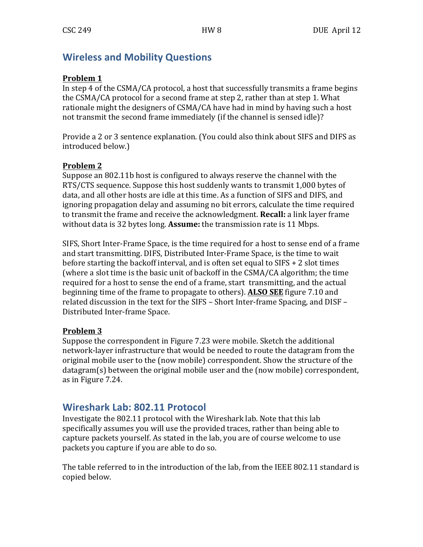# **Wireless and Mobility Questions**

#### **Problem 1**

In step 4 of the  $CSMA/CA$  protocol, a host that successfully transmits a frame begins the  $CSMA/CA$  protocol for a second frame at step 2, rather than at step 1. What rationale might the designers of CSMA/CA have had in mind by having such a host not transmit the second frame immediately (if the channel is sensed idle)?

Provide a 2 or 3 sentence explanation. (You could also think about SIFS and DIFS as introduced below.)

### **Problem 2**

Suppose an 802.11b host is configured to always reserve the channel with the RTS/CTS sequence. Suppose this host suddenly wants to transmit 1,000 bytes of data, and all other hosts are idle at this time. As a function of SIFS and DIFS, and ignoring propagation delay and assuming no bit errors, calculate the time required to transmit the frame and receive the acknowledgment. **Recall:** a link layer frame without data is 32 bytes long. **Assume:** the transmission rate is 11 Mbps.

SIFS, Short Inter-Frame Space, is the time required for a host to sense end of a frame and start transmitting. DIFS, Distributed Inter-Frame Space, is the time to wait before starting the backoff interval, and is often set equal to  $SIFS + 2$  slot times (where a slot time is the basic unit of backoff in the CSMA/CA algorithm; the time required for a host to sense the end of a frame, start transmitting, and the actual beginning time of the frame to propagate to others). ALSO SEE figure 7.10 and related discussion in the text for the SIFS – Short Inter-frame Spacing, and DISF – Distributed Inter-frame Space.

### **Problem 3**

Suppose the correspondent in Figure 7.23 were mobile. Sketch the additional network-layer infrastructure that would be needed to route the datagram from the original mobile user to the (now mobile) correspondent. Show the structure of the datagram(s) between the original mobile user and the (now mobile) correspondent, as in Figure 7.24.

# **Wireshark Lab: 802.11 Protocol**

Investigate the 802.11 protocol with the Wireshark lab. Note that this lab specifically assumes you will use the provided traces, rather than being able to capture packets yourself. As stated in the lab, you are of course welcome to use packets you capture if you are able to do so.

The table referred to in the introduction of the lab, from the IEEE 802.11 standard is copied below.